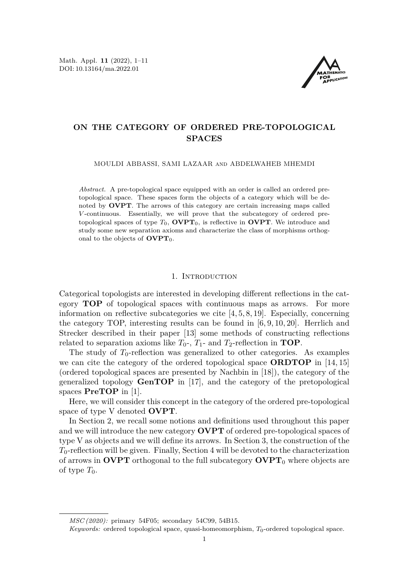Math. Appl. **11** (2022), 1[–11](#page-10-0) DOI: 10.13164/ma.2022.01



# **ON THE CATEGORY OF ORDERED PRE-TOPOLOGICAL SPACES**

MOULDI ABBASSI, SAMI LAZAAR and ABDELWAHEB MHEMDI

*Abstract.* A pre-topological space equipped with an order is called an ordered pretopological space. These spaces form the objects of a category which will be denoted by **OVPT**. The arrows of this category are certain increasing maps called *V* -continuous. Essentially, we will prove that the subcategory of ordered pretopological spaces of type  $T_0$ , **OVPT**<sub>0</sub>, is reflective in **OVPT**. We introduce and study some new separation axioms and characterize the class of morphisms orthogonal to the objects of  $\text{OVPT}_0$ .

#### 1. INTRODUCTION

Categorical topologists are interested in developing different reflections in the category **TOP** of topological spaces with continuous maps as arrows. For more information on reflective subcategories we cite [\[4,](#page-10-1) [5,](#page-10-2) [8,](#page-10-3) [19\]](#page-10-4). Especially, concerning the category TOP, interesting results can be found in [\[6,](#page-10-5) [9,](#page-10-6) [10,](#page-10-7) [20\]](#page-10-8). Herrlich and Strecker described in their paper [\[13\]](#page-10-9) some methods of constructing reflections related to separation axioms like  $T_0$ -,  $T_1$ - and  $T_2$ -reflection in **TOP**.

The study of  $T_0$ -reflection was generalized to other categories. As examples we can cite the category of the ordered topological space **ORDTOP** in [\[14,](#page-10-10) [15\]](#page-10-11) (ordered topological spaces are presented by Nachbin in [\[18\]](#page-10-12)), the category of the generalized topology **GenTOP** in [\[17\]](#page-10-13), and the category of the pretopological spaces **PreTOP** in [\[1\]](#page-10-14).

Here, we will consider this concept in the category of the ordered pre-topological space of type V denoted **OVPT**.

In Section 2, we recall some notions and definitions used throughout this paper and we will introduce the new category **OVPT** of ordered pre-topological spaces of type V as objects and we will define its arrows. In Section 3, the construction of the *T*0-reflection will be given. Finally, Section 4 will be devoted to the characterization of arrows in **OVPT** orthogonal to the full subcategory  $\text{OVPT}_0$  where objects are of type  $T_0$ .

*MSC (2020):* primary 54F05; secondary 54C99, 54B15.

*Keywords:* ordered topological space, quasi-homeomorphism, *T*0-ordered topological space.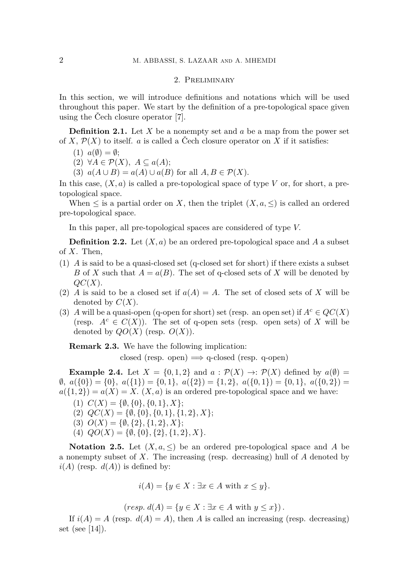### 2. Preliminary

In this section, we will introduce definitions and notations which will be used throughout this paper. We start by the definition of a pre-topological space given using the Čech closure operator [\[7\]](#page-10-15).

<span id="page-1-0"></span>**Definition 2.1.** Let *X* be a nonempty set and *a* be a map from the power set of *X*,  $\mathcal{P}(X)$  to itself. *a* is called a Čech closure operator on *X* if it satisfies:

 $(1)$   $a(\emptyset) = \emptyset;$ 

(2) ∀*A* ∈ P(*X*)*, A* ⊆ *a*(*A*);

(3)  $a(A \cup B) = a(A) \cup a(B)$  for all  $A, B \in \mathcal{P}(X)$ .

In this case,  $(X, a)$  is called a pre-topological space of type  $V$  or, for short, a pretopological space.

When  $\leq$  is a partial order on X, then the triplet  $(X, a, \leq)$  is called an ordered pre-topological space.

In this paper, all pre-topological spaces are considered of type *V.*

**Definition 2.2.** Let  $(X, a)$  be an ordered pre-topological space and A a subset of *X*. Then,

- (1) *A* is said to be a quasi-closed set (q-closed set for short) if there exists a subset *B* of *X* such that  $A = a(B)$ . The set of q-closed sets of *X* will be denoted by *QC*(*X*).
- (2) *A* is said to be a closed set if  $a(A) = A$ . The set of closed sets of *X* will be denoted by  $C(X)$ .
- (3) *A* will be a quasi-open (q-open for short) set (resp. an open set) if  $A^c \in QC(X)$ (resp.  $A^c \in C(X)$ ). The set of q-open sets (resp. open sets) of X will be denoted by  $QO(X)$  (resp.  $O(X)$ ).

**Remark 2.3.** We have the following implication:

closed (resp. open)  $\implies$  q-closed (resp. q-open)

**Example 2.4.** Let  $X = \{0, 1, 2\}$  and  $a : \mathcal{P}(X) \rightarrow : \mathcal{P}(X)$  defined by  $a(\emptyset) =$ ∅*, a*({0}) = {0}*, a*({1}) = {0*,* 1}*, a*({2}) = {1*,* 2}*, a*({0*,* 1}) = {0*,* 1}*, a*({0*,* 2}) =  $a({1, 2}) = a(X) = X$ .  $(X, a)$  is an ordered pre-topological space and we have:

- $(C(X) = \{\emptyset, \{0\}, \{0,1\}, X\};$
- (2)  $QC(X) = \{\emptyset, \{0\}, \{0, 1\}, \{1, 2\}, X\};$
- $(3)$   $O(X) = \{ \emptyset, \{2\}, \{1,2\}, X \};$
- (4)  $QO(X) = \{\emptyset, \{0\}, \{2\}, \{1, 2\}, X\}.$

**Notation 2.5.** Let  $(X, a, \leq)$  be an ordered pre-topological space and A be a nonempty subset of *X*. The increasing (resp. decreasing) hull of *A* denoted by  $i(A)$  (resp.  $d(A)$ ) is defined by:

$$
i(A) = \{ y \in X : \exists x \in A \text{ with } x \le y \}.
$$

 $(resp. d(A) = \{y \in X : \exists x \in A \text{ with } y \leq x\}.$ 

If  $i(A) = A$  (resp.  $d(A) = A$ ), then *A* is called an increasing (resp. decreasing) set (see [\[14\]](#page-10-10)).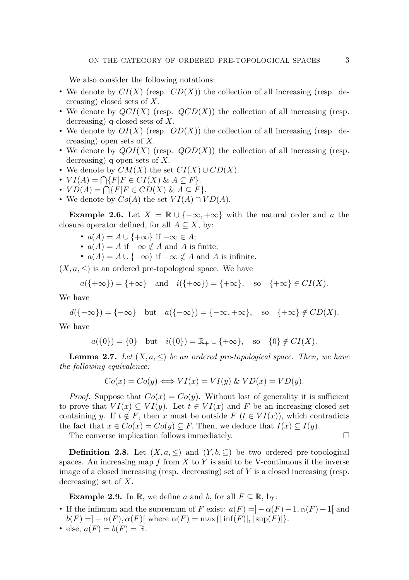We also consider the following notations:

- We denote by  $CI(X)$  (resp.  $CD(X)$ ) the collection of all increasing (resp. decreasing) closed sets of *X.*
- We denote by *QCI*(*X*) (resp. *QCD*(*X*)) the collection of all increasing (resp. decreasing) q-closed sets of *X.*
- We denote by  $OI(X)$  (resp.  $OD(X)$ ) the collection of all increasing (resp. decreasing) open sets of *X.*
- We denote by *QOI*(*X*) (resp. *QOD*(*X*)) the collection of all increasing (resp. decreasing) q-open sets of *X.*
- We denote by  $CM(X)$  the set  $CI(X) \cup CD(X)$ .
- $\bullet$  *VI*(*A*) =  $\bigcap \{F | F \in CI(X) \& A \subseteq F\}.$
- $\bullet$  *VD*(*A*) =  $\bigcap \{F | F \in CD(X) \& A \subseteq F\}.$
- We denote by  $Co(A)$  the set  $VI(A) \cap VD(A)$ .

**Example 2.6.** Let  $X = \mathbb{R} \cup \{-\infty, +\infty\}$  with the natural order and *a* the closure operator defined, for all  $A \subseteq X$ , by:

- $a(A) = A \cup \{+\infty\}$  if  $-\infty \in A$ ;
- $a(A) = A$  if  $-\infty \notin A$  and A is finite;
- $a(A) = A \cup \{-\infty\}$  if  $-\infty \notin A$  and *A* is infinite.

 $(X, a, \leq)$  is an ordered pre-topological space. We have

$$
a(\lbrace +\infty \rbrace) = \lbrace +\infty \rbrace \quad \text{and} \quad i(\lbrace +\infty \rbrace) = \lbrace +\infty \rbrace, \quad \text{so} \quad \lbrace +\infty \rbrace \in CI(X).
$$

We have

$$
d(\{-\infty\}) = \{-\infty\} \quad \text{but} \quad a(\{-\infty\}) = \{-\infty, +\infty\}, \quad \text{so} \quad \{+\infty\} \notin CD(X).
$$

We have

 $a({0}) = {0}$  but  $i({0}) = \mathbb{R}_+ \cup {+\infty}$ , so  ${0} \notin CI(X)$ .

<span id="page-2-0"></span>**Lemma 2.7.** *Let*  $(X, a, \leq)$  *be an ordered pre-topological space. Then, we have the following equivalence:*

$$
Co(x) = Co(y) \Longleftrightarrow VI(x) = VI(y) \& V D(x) = V D(y).
$$

*Proof.* Suppose that  $Co(x) = Co(y)$ . Without lost of generality it is sufficient to prove that  $VI(x) \subseteq VI(y)$ . Let  $t \in VI(x)$  and F be an increasing closed set containing *y*. If  $t \notin F$ , then *x* must be outside  $F(t \in VI(x))$ , which contradicts the fact that  $x \in Co(x) = Co(y) \subseteq F$ . Then, we deduce that  $I(x) \subseteq I(y)$ .

The converse implication follows immediately.  $\Box$ 

**Definition 2.8.** Let  $(X, a, \leq)$  and  $(Y, b, \subseteq)$  be two ordered pre-topological spaces. An increasing map  $f$  from  $X$  to  $Y$  is said to be V-continuous if the inverse image of a closed increasing (resp. decreasing) set of *Y* is a closed increasing (resp. decreasing) set of *X*.

**Example 2.9.** In R, we define *a* and *b*, for all  $F \subseteq \mathbb{R}$ , by:

- If the infimum and the supremum of *F* exist:  $a(F) = -\alpha(F) 1$ ,  $\alpha(F) + 1$  and  $b(F) = ] - \alpha(F), \alpha(F)$ [ where  $\alpha(F) = \max\{|\inf(F)|, |\sup(F)|\}.$
- else,  $a(F) = b(F) = \mathbb{R}$ .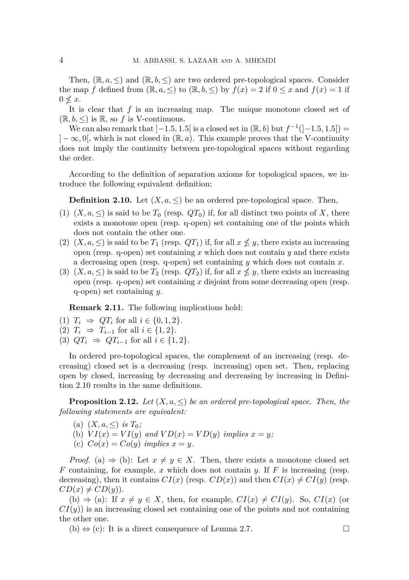Then,  $(\mathbb{R}, a, \leq)$  and  $(\mathbb{R}, b, \leq)$  are two ordered pre-topological spaces. Consider the map *f* defined from  $(\mathbb{R}, a, \leq)$  to  $(\mathbb{R}, b, \leq)$  by  $f(x) = 2$  if  $0 \leq x$  and  $f(x) = 1$  if  $0 \nless x$ .

It is clear that *f* is an increasing map. The unique monotone closed set of  $(\mathbb{R}, b, \leq)$  is  $\mathbb{R}$ , so f is V-continuous.

We can also remark that  $]-1.5, 1.5[$  is a closed set in  $(\mathbb{R}, b)$  but  $f^{-1}([-1.5, 1.5])$  $]-\infty,0[$ , which is not closed in  $(\mathbb{R},a)$ . This example proves that the V-continuity does not imply the continuity between pre-topological spaces without regarding the order.

According to the definition of separation axioms for topological spaces, we introduce the following equivalent definition:

<span id="page-3-0"></span>**Definition 2.10.** Let  $(X, a, \leq)$  be an ordered pre-topological space. Then,

- (1)  $(X, a, \leq)$  is said to be  $T_0$  (resp.  $QT_0$ ) if, for all distinct two points of X, there exists a monotone open (resp. q-open) set containing one of the points which does not contain the other one.
- (2)  $(X, a, \leq)$  is said to be  $T_1$  (resp.  $QT_1$ ) if, for all  $x \nless y$ , there exists an increasing open (resp. q-open) set containing *x* which does not contain *y* and there exists a decreasing open (resp. q-open) set containing *y* which does not contain *x*.
- (3)  $(X, a, \leq)$  is said to be  $T_2$  (resp.  $QT_2$ ) if, for all  $x \nless y$ , there exists an increasing open (resp. q-open) set containing *x* disjoint from some decreasing open (resp. q-open) set containing *y*.

**Remark 2.11.** The following implications hold:

- (1)  $T_i \Rightarrow QT_i \text{ for all } i \in \{0, 1, 2\}.$
- (2)  $T_i \Rightarrow T_{i-1}$  for all  $i \in \{1, 2\}.$
- (3)  $QT_i$  ⇒  $QT_{i-1}$  for all  $i \in \{1,2\}$ .

In ordered pre-topological spaces, the complement of an increasing (resp. decreasing) closed set is a decreasing (resp. increasing) open set. Then, replacing open by closed, increasing by decreasing and decreasing by increasing in Definition [2.10](#page-3-0) results in the same definitions.

**Proposition 2.12.** Let  $(X, a, \leq)$  be an ordered pre-topological space. Then, the *following statements are equivalent:*

- (a)  $(X, a, \leq)$  *is*  $T_0$ ;
- (b)  $VI(x) = VI(y)$  and  $VD(x) = VD(y)$  implies  $x = y$ ;
- (c)  $Co(x) = Co(y)$  *implies*  $x = y$ *.*

*Proof.* (a)  $\Rightarrow$  (b): Let  $x \neq y \in X$ . Then, there exists a monotone closed set *F* containing, for example, *x* which does not contain *y.* If *F* is increasing (resp. decreasing), then it contains  $CI(x)$  (resp.  $CD(x)$ ) and then  $CI(x) \neq CI(y)$  (resp.  $CD(x) \neq CD(y)$ .

(b)  $\Rightarrow$  (a): If  $x \neq y \in X$ , then, for example,  $CI(x) \neq CI(y)$ . So,  $CI(x)$  (or *CI*(*y*)) is an increasing closed set containing one of the points and not containing the other one.

(b)  $\Leftrightarrow$  (c): It is a direct consequence of Lemma [2.7.](#page-2-0) □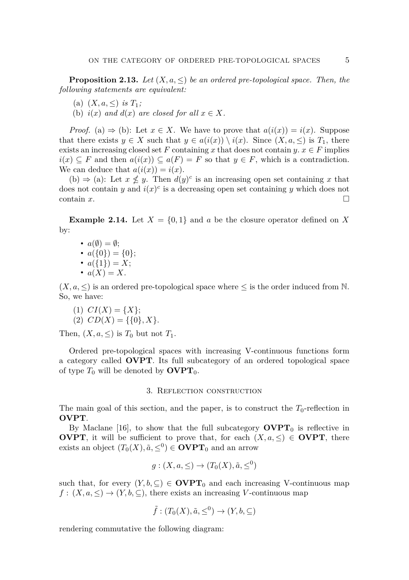**Proposition 2.13.** *Let*  $(X, a, \leq)$  *be an ordered pre-topological space. Then, the following statements are equivalent:*

- (a)  $(X, a, \leq)$  *is*  $T_1$ ;
- (b)  $i(x)$  and  $d(x)$  are closed for all  $x \in X$ .

*Proof.* (a)  $\Rightarrow$  (b): Let  $x \in X$ . We have to prove that  $a(i(x)) = i(x)$ . Suppose that there exists  $y \in X$  such that  $y \in a(i(x)) \setminus i(x)$ . Since  $(X, a, \leq)$  is  $T_1$ , there exists an increasing closed set *F* containing *x* that does not contain  $y \text{.} x \in F$  implies  $i(x) \subseteq F$  and then  $a(i(x)) \subseteq a(F) = F$  so that  $y \in F$ , which is a contradiction. We can deduce that  $a(i(x)) = i(x)$ .

(b)  $\Rightarrow$  (a): Let  $x \nleq y$ . Then  $d(y)^c$  is an increasing open set containing x that does not contain *y* and  $i(x)^c$  is a decreasing open set containing *y* which does not contain  $x$ .  $\Box$ 

**Example 2.14.** Let  $X = \{0, 1\}$  and *a* be the closure operator defined on X by:

•  $a(\emptyset) = \emptyset;$ 

• 
$$
a(\{0\}) = \{0\};
$$

$$
\bullet \ \ a(\{1\}) = X;
$$

 $\bullet$   $a(X) = X$ .

 $(X, a, \leq)$  is an ordered pre-topological space where  $\leq$  is the order induced from N. So, we have:

 $(1) CI(X) = \{X\};$ (2)  $CD(X) = \{\{0\}, X\}.$ 

Then,  $(X, a, \leq)$  is  $T_0$  but not  $T_1$ .

Ordered pre-topological spaces with increasing V-continuous functions form a category called **OVPT**. Its full subcategory of an ordered topological space of type  $T_0$  will be denoted by  $\text{OVPT}_0$ .

### 3. Reflection construction

The main goal of this section, and the paper, is to construct the  $T_0$ -reflection in **OVPT**.

By Maclane [\[16\]](#page-10-16), to show that the full subcategory  $\text{OVPT}_0$  is reflective in **OVPT**, it will be sufficient to prove that, for each  $(X, a, \leq) \in \text{OVPT}$ , there exists an object  $(T_0(X), \tilde{a}, \le^0) \in \text{OVPT}_0$  and an arrow

$$
g: (X, a, \leq) \to (T_0(X), \tilde{a}, \leq^0)
$$

such that, for every  $(Y, b, \subseteq) \in \text{OVPT}_0$  and each increasing V-continuous map  $f: (X, a, \leq) \to (Y, b, \subseteq)$ , there exists an increasing *V*-continuous map

$$
\tilde{f}:(T_0(X),\tilde{a},\leq^0)\to(Y,b,\subseteq)
$$

rendering commutative the following diagram: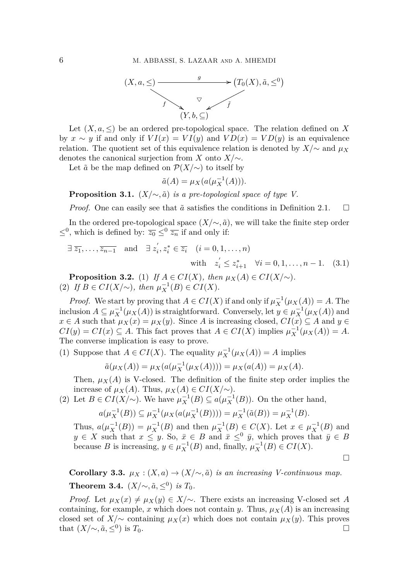

Let  $(X, a, \leq)$  be an ordered pre-topological space. The relation defined on X by  $x \sim y$  if and only if  $VI(x) = VI(y)$  and  $VD(x) = V D(y)$  is an equivalence relation. The quotient set of this equivalence relation is denoted by  $X/\sim$  and  $\mu_X$ denotes the canonical surjection from *X* onto *X/*∼.

Let  $\tilde{a}$  be the map defined on  $\mathcal{P}(X/\sim)$  to itself by

<span id="page-5-1"></span>
$$
\tilde{a}(A) = \mu_X(a(\mu_X^{-1}(A))).
$$

**Proposition 3.1.**  $(X/\sim, \tilde{a})$  *is a pre-topological space of type V.* 

*Proof.* One can easily see that  $\tilde{a}$  satisfies the conditions in Definition [2.1.](#page-1-0) □

In the ordered pre-topological space  $(X/\sim, \tilde{a})$ , we will take the finite step order  $≤$ <sup>0</sup>, which is defined by:  $\overline{z_0}$  ≤<sup>0</sup> $\overline{z_n}$  if and only if:

$$
\exists \overline{z_1}, \dots, \overline{z_{n-1}} \text{ and } \exists z_i', z_i^* \in \overline{z_i} \quad (i = 0, 1, \dots, n)
$$
  
with  $z_i' \le z_{i+1}^* \quad \forall i = 0, 1, \dots, n-1.$  (3.1)

<span id="page-5-0"></span>**Proposition 3.2.** (1) *If*  $A \in CI(X)$ *, then*  $\mu_X(A) \in CI(X/\sim)$ *.* (2) *If*  $B \in CI(X/\sim)$ *, then*  $\mu_X^{-1}(B) \in CI(X)$ *.* 

*Proof.* We start by proving that  $A \in CI(X)$  if and only if  $\mu_X^{-1}(\mu_X(A)) = A$ . The inclusion  $A \subseteq \mu_X^{-1}(\mu_X(A))$  is straightforward. Conversely, let  $y \in \mu_X^{-1}(\mu_X(A))$  and *x* ∈ *A* such that  $\mu_X(x) = \mu_X(y)$ . Since *A* is increasing closed,  $CI(x) \subseteq A$  and *y* ∈  $CI(y) = CI(x) \subseteq A$ . This fact proves that  $A \in CI(X)$  implies  $\mu_X^{-1}(\mu_X(A)) = A$ . The converse implication is easy to prove.

(1) Suppose that  $A \in CI(X)$ . The equality  $\mu_X^{-1}(\mu_X(A)) = A$  implies

$$
\tilde{a}(\mu_X(A)) = \mu_X(a(\mu_X^{-1}(\mu_X(A)))) = \mu_X(a(A)) = \mu_X(A).
$$

Then,  $\mu_X(A)$  is V-closed. The definition of the finite step order implies the increase of  $\mu_X(A)$ . Thus,  $\mu_X(A) \in CI(X/\sim)$ .

(2) Let  $B \in CI(X/\sim)$ . We have  $\mu_X^{-1}(B) \subseteq a(\mu_X^{-1}(B))$ . On the other hand,

$$
a(\mu_X^{-1}(B)) \subseteq \mu_X^{-1}(\mu_X(a(\mu_X^{-1}(B)))) = \mu_X^{-1}(\tilde{a}(B)) = \mu_X^{-1}(B).
$$

Thus,  $a(\mu_X^{-1}(B)) = \mu_X^{-1}(B)$  and then  $\mu_X^{-1}(B) \in C(X)$ . Let  $x \in \mu_X^{-1}(B)$  and  $y \in X$  such that  $x \leq y$ . So,  $\bar{x} \in B$  and  $\bar{x} \leq^0 \bar{y}$ , which proves that  $\bar{y} \in B$ because *B* is increasing,  $y \in \mu_X^{-1}(B)$  and, finally,  $\mu_X^{-1}(B) \in CI(X)$ .

□

**Corollary 3.3.**  $\mu_X : (X, a) \to (X/\sim, \tilde{a})$  *is an increasing V-continuous map.* **Theorem 3.4.**  $(X/\sim, \tilde{a}, \leq^0)$  *is*  $T_0$ *.* 

*Proof.* Let  $\mu_X(x) \neq \mu_X(y) \in X/\sim$ . There exists an increasing V-closed set *A* containing, for example, *x* which does not contain *y*. Thus,  $\mu_X(A)$  is an increasing closed set of *X*/ $\sim$  containing  $\mu_X(x)$  which does not contain  $\mu_X(y)$ . This proves that  $(X/\sim, \tilde{a}, \leq^0)$  is  $T_0$ . ) is  $T_0$ .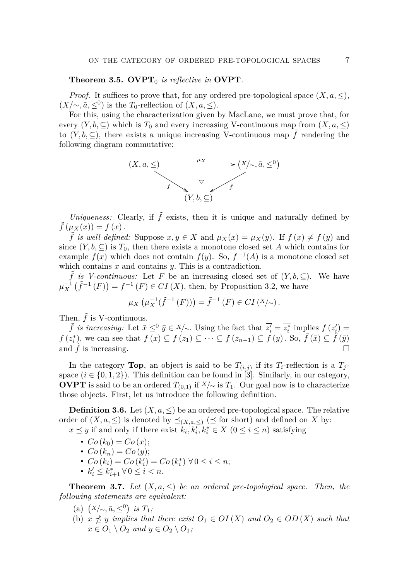## **Theorem 3.5. OVPT**<sup>0</sup> *is reflective in* **OVPT***.*

*Proof.* It suffices to prove that, for any ordered pre-topological space  $(X, a, \leq)$ ,  $(X/\sim, \tilde{a}, \leq^0)$  is the *T*<sub>0</sub>-reflection of  $(X, a, \leq)$ .

For this, using the characterization given by MacLane, we must prove that, for every  $(Y, b, \subseteq)$  which is  $T_0$  and every increasing V-continuous map from  $(X, a, \leq)$ to  $(Y, b, \subseteq)$ , there exists a unique increasing V-continuous map  $\tilde{f}$  rendering the following diagram commutative:



*Uniqueness:* Clearly, if  $\tilde{f}$  exists, then it is unique and naturally defined by  $f(\mu_X(x)) = f(x)$ .

 $\tilde{f}$  *is well defined:* Suppose  $x, y \in X$  and  $\mu_X(x) = \mu_X(y)$ . If  $f(x) \neq f(y)$  and since  $(Y, b, \subseteq)$  is  $T_0$ , then there exists a monotone closed set *A* which contains for example  $f(x)$  which does not contain  $f(y)$ . So,  $f^{-1}(A)$  is a monotone closed set which contains *x* and contains *y*. This is a contradiction.

 $\tilde{f}$  *is V-continuous:* Let *F* be an increasing closed set of  $(Y, b, \subseteq)$ . We have  $\mu_X^{-1}(\tilde{f}^{-1}(F)) = f^{-1}(F) \in CI(X)$ , then, by Proposition [3.2,](#page-5-0) we have

$$
\mu_X\left(\mu_X^{-1}(\tilde{f}^{-1}(F))\right) = \tilde{f}^{-1}(F) \in CI(X/\sim).
$$

Then,  $\tilde{f}$  is V-continuous.

*f is increasing:* Let  $\bar{x} \leq^0 \bar{y} \in X/\sim$ . Using the fact that  $\bar{z}'_i = \bar{z}_i^*$  implies  $f(z'_i) =$  $f(z_i^*)$ , we can see that  $f(x) \subseteq f(z_1) \subseteq \cdots \subseteq f(z_{n-1}) \subseteq f(y)$ . So,  $\tilde{f}(\bar{x}) \subseteq \tilde{f}(\bar{y})$ and  $\tilde{f}$  is increasing.  $\square$ 

In the category **Top**, an object is said to be  $T_{(i,j)}$  if its  $T_i$ -reflection is a  $T_j$ space  $(i \in \{0,1,2\})$ . This definition can be found in [\[3\]](#page-10-17). Similarly, in our category, **OVPT** is said to be an ordered  $T_{(0,1)}$  if  $X/\sim$  is  $T_1$ . Our goal now is to characterize those objects. First, let us introduce the following definition.

**Definition 3.6.** Let  $(X, a, \leq)$  be an ordered pre-topological space. The relative order of  $(X, a, \leq)$  is denoted by  $\preceq_{(X, a, \leq)} (\preceq$  for short) and defined on X by: *x*  $\le$  *y* if and only if there exist  $k_i, k_i, k_i \in X$  (0 ≤ *i* ≤ *n*) satisfying

- $Co(k_0) = Co(x);$
- $Co(k_n) = Co(y)$ ;
- $Co(k_i) = Co(k'_i) = Co(k_i^*) \ \forall \ 0 \le i \le n;$
- $k'_i \leq k^*_{i+1} \,\forall\, 0 \leq i < n.$

**Theorem 3.7.** *Let*  $(X, a, \leq)$  *be an ordered pre-topological space. Then, the following statements are equivalent:*

- $(a)$   $(X/\sim, \tilde{a}, \leq^0)$  *is*  $T_1$ *;*
- (b)  $x \npreceq y$  *implies that there exist*  $O_1 \in O(X)$  *and*  $O_2 \in OD(X)$  *such that*  $x \in O_1 \setminus O_2$  *and*  $y \in O_2 \setminus O_1$ ;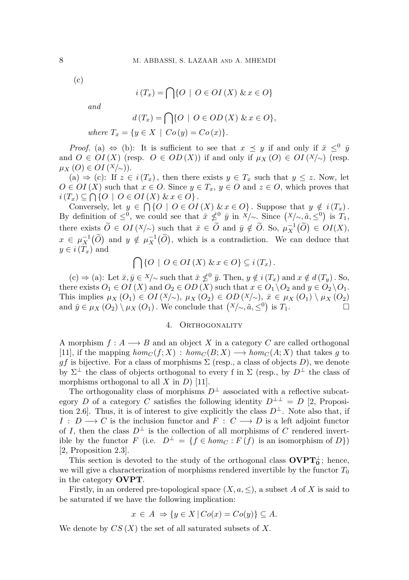(c)

$$
i(T_x) = \bigcap \{ O \mid O \in OI(X) \& x \in O \}
$$

*and*

$$
d(T_x) = \bigcap \{ O \mid O \in OD(X) \& x \in O \},
$$
  
where  $T_x = \{ y \in X \mid Co(y) = Co(x) \}.$ 

*Proof.* (a)  $\Leftrightarrow$  (b): It is sufficient to see that  $x \preceq y$  if and only if  $\bar{x} \leq^0 \bar{y}$ and  $O \in OI(X)$  (resp.  $O \in OD(X)$ ) if and only if  $\mu_X(O) \in OI(X)$  (resp. *µX* (*O*) ∈ *OI* (*X*/∼)).

(a)  $\Rightarrow$  (c): If *z* ∈ *i*(*T<sub>x</sub>*), then there exists *y* ∈ *T<sub>x</sub>* such that *y* ≤ *z*. Now, let  $O \in O(X)$  such that  $x \in O$ . Since  $y \in T_x$ ,  $y \in O$  and  $z \in O$ , which proves that  $i(T_x) \subseteq \bigcap \{O \mid O \in OI(X) \& x \in O\}.$ 

Conversely, let  $y \in \bigcap \{O \mid O \in O(I(X) \& x \in O\}$ . Suppose that  $y \notin i(T_x)$ . By definition of  $\leq^0$ , we could see that  $\bar{x} \not\leq^0 \bar{y}$  in  $\bar{X}/\sim$ . Since  $(X/\sim, \tilde{a}, \leq^0)$  is  $T_1$ , there exists  $\widetilde{O} \in OI(X/\sim)$  such that  $\bar{x} \in \widetilde{O}$  and  $\bar{y} \notin \widetilde{O}$ . So,  $\mu_X^{-1}(\widetilde{O}) \in OI(X)$ ,  $x \in \mu_X^{-1}(\widetilde{O})$  and  $y \notin \mu_X^{-1}(\widetilde{O})$ , which is a contradiction. We can deduce that  $y \in i(T_x)$  and

$$
\bigcap \{O \mid O \in OI(X) \& x \in O\} \subseteq i(T_x).
$$

 $g(c) \Rightarrow (a)$ : Let  $\bar{x}, \bar{y} \in X/\sim$  such that  $\bar{x} \not\leq^0 \bar{y}$ . Then,  $y \notin i(T_x)$  and  $x \notin d(T_y)$ . So, there exists  $O_1 \in OI(X)$  and  $O_2 \in OD(X)$  such that  $x \in O_1 \setminus O_2$  and  $y \in O_2 \setminus O_1$ . This implies  $\mu_X(O_1) \in \text{OI}(X/\sim)$ ,  $\mu_X(O_2) \in \text{OD}(X/\sim)$ ,  $\bar{x} \in \mu_X(O_1) \setminus \mu_X(O_2)$ and  $\bar{y} \in \mu_X(O_2) \setminus \mu_X(O_1)$ . We conclude that  $(X/\sim, \tilde{a}, \leq^0)$  is  $T_1$ .

#### 4. ORTHOGONALITY

A morphism  $f: A \longrightarrow B$  and an object X in a category C are called orthogonal [\[11\]](#page-10-18), if the mapping  $hom_C(f; X) : hom_C(B; X) \longrightarrow hom_C(A; X)$  that takes g to *gf* is bijective. For a class of morphisms  $\Sigma$  (resp., a class of objects *D*), we denote by  $\Sigma^{\perp}$  the class of objects orthogonal to every f in  $\Sigma$  (resp., by  $D^{\perp}$  the class of morphisms orthogonal to all *X* in *D*) [\[11\]](#page-10-18).

The orthogonality class of morphisms  $D^{\perp}$  associated with a reflective subcategory *D* of a category *C* satisfies the following identity  $D^{\perp \perp} = D$  [\[2,](#page-10-19) Proposition 2.6]. Thus, it is of interest to give explicitly the class  $D^{\perp}$ . Note also that, if *I* : *D* → *C* is the inclusion functor and *F* :  $C \rightarrow D$  is a left adjoint functor of *I*, then the class  $D^{\perp}$  is the collection of all morphisms of *C* rendered invertible by the functor *F* (i.e.  $D^{\perp} = \{f \in hom_C : F(f) \text{ is an isomorphism of } D\}$ ) [\[2,](#page-10-19) Proposition 2.3].

This section is devoted to the study of the orthogonal class  $\text{OVPT}_0^{\perp}$ ; hence, we will give a characterization of morphisms rendered invertible by the functor  $T_0$ in the category **OVPT**.

Firstly, in an ordered pre-topological space  $(X, a, \leq)$ , a subset A of X is said to be saturated if we have the following implication:

$$
x \in A \Rightarrow \{ y \in X \mid Co(x) = Co(y) \} \subseteq A.
$$

We denote by *CS* (*X*) the set of all saturated subsets of *X.*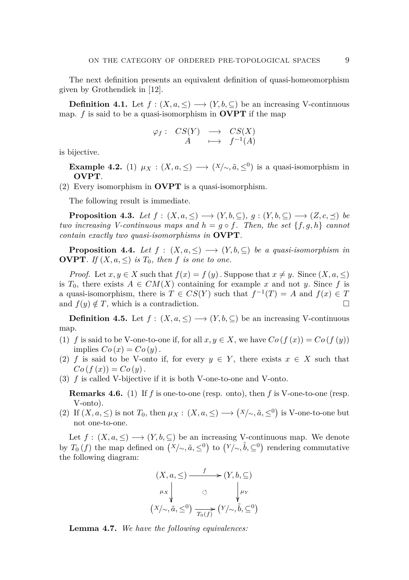The next definition presents an equivalent definition of quasi-homeomorphism given by Grothendiek in [\[12\]](#page-10-20).

**Definition 4.1.** Let  $f : (X, a, \leq) \longrightarrow (Y, b, \subseteq)$  be an increasing V-continuous map. *f* is said to be a quasi-isomorphism in **OVPT** if the map

$$
\varphi_f: CS(Y) \longrightarrow CS(X) A \longrightarrow f^{-1}(A)
$$

is bijective.

**Example 4.2.** (1)  $\mu_X : (X, a, \leq) \longrightarrow (X/\sim, \tilde{a}, \leq^0)$  is a quasi-isomorphism in **OVPT**.

(2) Every isomorphism in **OVPT** is a quasi-isomorphism.

The following result is immediate.

<span id="page-8-0"></span>**Proposition 4.3.** *Let*  $f : (X, a, \leq) \longrightarrow (Y, b, \subseteq), g : (Y, b, \subseteq) \longrightarrow (Z, c, \preceq)$  *be two increasing V-continuous maps and*  $h = g \circ f$ . Then, the set  $\{f, g, h\}$  cannot *contain exactly two quasi-isomorphisms in* **OVPT***.*

<span id="page-8-2"></span>**Proposition 4.4.** *Let*  $f : (X, a, \leq) \longrightarrow (Y, b, \subseteq)$  *be a quasi-isomorphism in* **OVPT***. If*  $(X, a, \leq)$  *is*  $T_0$ *, then f is one to one.* 

*Proof.* Let  $x, y \in X$  such that  $f(x) = f(y)$ . Suppose that  $x \neq y$ . Since  $(X, a, \leq)$ is  $T_0$ , there exists  $A \in CM(X)$  containing for example x and not y. Since f is a quasi-isomorphism, there is  $T \in CS(Y)$  such that  $f^{-1}(T) = A$  and  $f(x) \in T$ and  $f(y) \notin T$ , which is a contradiction.

**Definition 4.5.** Let  $f : (X, a, \leq) \longrightarrow (Y, b, \subseteq)$  be an increasing V-continuous map.

- (1) *f* is said to be V-one-to-one if, for all  $x, y \in X$ , we have  $Co(f(x)) = Co(f(y))$ implies  $Co(x) = Co(y)$ .
- (2) *f* is said to be V-onto if, for every  $y \in Y$ , there exists  $x \in X$  such that  $Co(f(x)) = Co(y)$ .
- (3) *f* is called V-bijective if it is both V-one-to-one and V-onto.

**Remarks 4.6.** (1) If *f* is one-to-one (resp. onto), then *f* is V-one-to-one (resp. V-onto).

(2) If  $(X, a, \leq)$  is not  $T_0$ , then  $\mu_X : (X, a, \leq) \longrightarrow (X/\sim, \tilde{a}, \leq^0)$  is V-one-to-one but not one-to-one.

Let  $f: (X, a, \leq) \longrightarrow (Y, b, \subseteq)$  be an increasing V-continuous map. We denote by  $T_0(f)$  the map defined on  $(X/\sim, \tilde{a}, \leq^0)$  to  $(Y/\sim, \tilde{b}, \subseteq^0)$  rendering commutative the following diagram:

$$
(X, a, \leq) \xrightarrow{f} (Y, b, \subseteq)
$$
  
\n
$$
\mu_X \downarrow \circ \qquad \qquad \downarrow \mu_Y
$$
  
\n
$$
(X/\sim, \tilde{a}, \leq^0) \xrightarrow{T_0(f)} (Y/\sim, \tilde{b}, \subseteq^0)
$$

<span id="page-8-1"></span>**Lemma 4.7.** *We have the following equivalences:*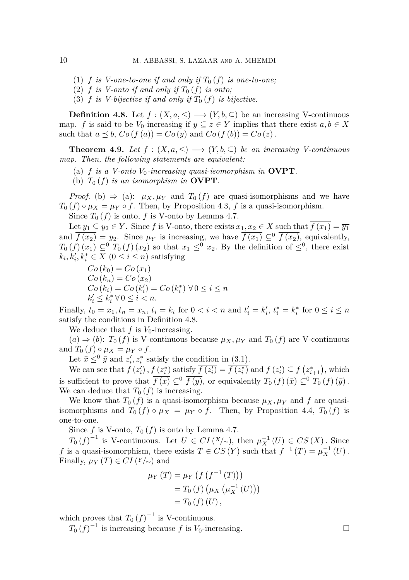- (1)  $f$  *is V-one-to-one if and only if*  $T_0(f)$  *is one-to-one;*
- (2)  $f$  *is V-onto if and only if*  $T_0(f)$  *is onto;*
- (3) *f is V-bijective if and only if*  $T_0(f)$  *is bijective.*

<span id="page-9-0"></span>**Definition 4.8.** Let  $f : (X, a, \leq) \longrightarrow (Y, b, \subseteq)$  be an increasing V-continuous map. *f* is said to be *V*<sub>0</sub>-increasing if  $y \subseteq z \in Y$  implies that there exist  $a, b \in X$ such that  $a \preceq b$ ,  $Co(f(a)) = Co(y)$  and  $Co(f(b)) = Co(z)$ .

**Theorem 4.9.** *Let*  $f : (X, a, \leq) \longrightarrow (Y, b, \subseteq)$  *be an increasing V-continuous map. Then, the following statements are equivalent:*

- (a)  $f$  *is a V-onto*  $V_0$ -increasing quasi-isomorphism in **OVPT**.
- (b)  $T_0(f)$  *is an isomorphism in* **OVPT**.

*Proof.* (b)  $\Rightarrow$  (a):  $\mu_X, \mu_Y$  and  $T_0(f)$  are quasi-isomorphisms and we have  $T_0(f) \circ \mu_X = \mu_Y \circ f$ . Then, by Proposition [4.3,](#page-8-0) *f* is a quasi-isomorphism.

Since  $T_0(f)$  is onto,  $f$  is V-onto by Lemma [4.7.](#page-8-1)

Let  $y_1 \subseteq y_2 \in Y$ . Since *f* is V-onto, there exists  $x_1, x_2 \in X$  such that  $f(x_1) = \overline{y_1}$ and  $\overline{f(x_2)} = \overline{y_2}$ . Since  $\mu_Y$  is increasing, we have  $\overline{f(x_1)} \subseteq^0 \overline{f(x_2)}$ , equivalently,  $T_0(f)(\overline{x_1}) \subseteq^0 T_0(f)(\overline{x_2})$  so that  $\overline{x_1} \le^0 \overline{x_2}$ . By the definition of  $\le^0$ , there exist  $k_i, k'_i, k^*_i \in X \ (0 \leq i \leq n)$  satisfying

 $Co(k_0) = Co(x_1)$  $Co(k_n) = Co(x_2)$  $Co(k_i) = Co(k'_i) = Co(k_i^*) \,\forall \, 0 \le i \le n$  $k'_i \leq k_i^* \ \forall \ 0 \leq i < n.$ 

Finally,  $t_0 = x_1, t_n = x_n$ ,  $t_i = k_i$  for  $0 < i < n$  and  $t'_i = k'_i$ ,  $t_i^* = k_i^*$  for  $0 \le i \le n$ satisfy the conditions in Definition [4.8.](#page-9-0)

We deduce that  $f$  is  $V_0$ -increasing.

 $(a) \Rightarrow (b)$ :  $T_0(f)$  is V-continuous because  $\mu_X, \mu_Y$  and  $T_0(f)$  are V-continuous and  $T_0$   $(f) \circ \mu_X = \mu_Y \circ f$ .

Let  $\bar{x} \leq^0 \bar{y}$  and  $z_i', z_i^*$  satisfy the condition in [\(3.1\)](#page-5-1).

We can see that  $f(z'_i)$ ,  $f(z_i^*)$  satisfy  $\overline{f(z'_i)} = \overline{f(z_i^*)}$  and  $f(z'_i) \subseteq f(z_{i+1}^*)$ , which is sufficient to prove that  $\overline{f(x)} \subseteq^0 \overline{f(y)}$ , or equivalently  $T_0(f)(\overline{x}) \subseteq^0 T_0(f)(\overline{y})$ . We can deduce that  $T_0(f)$  is increasing.

We know that  $T_0(f)$  is a quasi-isomorphism because  $\mu_X, \mu_Y$  and f are quasiisomorphisms and  $T_0(f) \circ \mu_X = \mu_Y \circ f$ . Then, by Proposition [4.4,](#page-8-2)  $T_0(f)$  is one-to-one.

Since  $f$  is V-onto,  $T_0(f)$  is onto by Lemma [4.7.](#page-8-1)

*T*<sub>0</sub> (*f*)<sup>-1</sup> is V-continuous. Let *U* ∈ *CI* (*X*/∼), then  $\mu_X^{-1}(U)$  ∈ *CS* (*X*). Since *f* is a quasi-isomorphism, there exists  $T \in CS(Y)$  such that  $f^{-1}(T) = \mu_X^{-1}(U)$ . Finally,  $\mu_Y(T) \in CI(Y/\sim)$  and

$$
\mu_Y(T) = \mu_Y(f(f^{-1}(T))) \n= T_0(f) (\mu_X(\mu_X^{-1}(U))) \n= T_0(f)(U),
$$

which proves that  $T_0(f)^{-1}$  is V-continuous.

 $T_0(f)^{-1}$  is increasing because *f* is *V*<sub>0</sub>-increasing. □